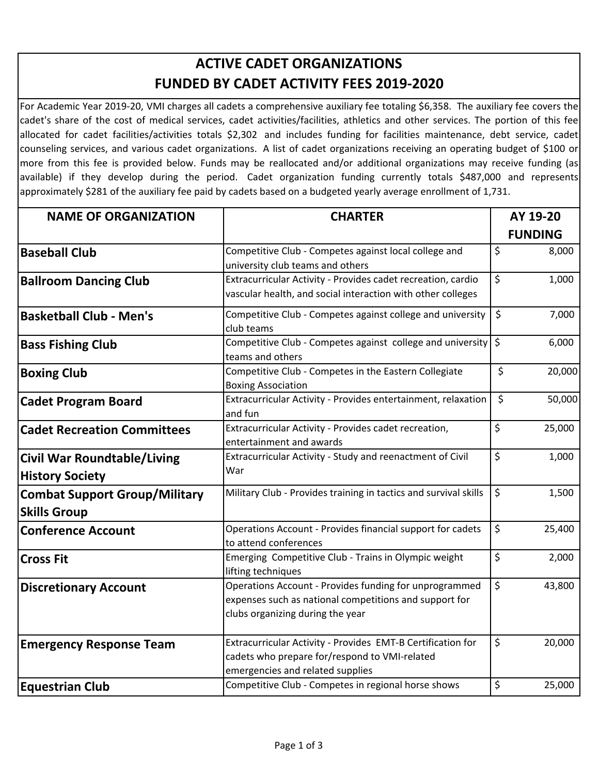## **ACTIVE CADET ORGANIZATIONS FUNDED BY CADET ACTIVITY FEES 2019‐2020**

For Academic Year 2019‐20, VMI charges all cadets a comprehensive auxiliary fee totaling \$6,358. The auxiliary fee covers the cadet's share of the cost of medical services, cadet activities/facilities, athletics and other services. The portion of this fee allocated for cadet facilities/activities totals \$2,302 and includes funding for facilities maintenance, debt service, cadet counseling services, and various cadet organizations. A list of cadet organizations receiving an operating budget of \$100 or more from this fee is provided below. Funds may be reallocated and/or additional organizations may receive funding (as available) if they develop during the period. Cadet organization funding currently totals \$487,000 and represents approximately \$281 of the auxiliary fee paid by cadets based on a budgeted yearly average enrollment of 1,731.

| <b>NAME OF ORGANIZATION</b>                                  | <b>CHARTER</b>                                                                                                                                       |         | AY 19-20<br><b>FUNDING</b> |  |
|--------------------------------------------------------------|------------------------------------------------------------------------------------------------------------------------------------------------------|---------|----------------------------|--|
|                                                              |                                                                                                                                                      |         |                            |  |
| <b>Baseball Club</b>                                         | Competitive Club - Competes against local college and<br>university club teams and others                                                            | $\zeta$ | 8,000                      |  |
| <b>Ballroom Dancing Club</b>                                 | Extracurricular Activity - Provides cadet recreation, cardio<br>vascular health, and social interaction with other colleges                          | \$      | 1,000                      |  |
| <b>Basketball Club - Men's</b>                               | Competitive Club - Competes against college and university<br>club teams                                                                             | \$      | 7,000                      |  |
| <b>Bass Fishing Club</b>                                     | Competitive Club - Competes against college and university<br>teams and others                                                                       | $\zeta$ | 6,000                      |  |
| <b>Boxing Club</b>                                           | Competitive Club - Competes in the Eastern Collegiate<br><b>Boxing Association</b>                                                                   | \$      | 20,000                     |  |
| <b>Cadet Program Board</b>                                   | Extracurricular Activity - Provides entertainment, relaxation<br>and fun                                                                             | \$      | 50,000                     |  |
| <b>Cadet Recreation Committees</b>                           | Extracurricular Activity - Provides cadet recreation,<br>entertainment and awards                                                                    | \$      | 25,000                     |  |
| <b>Civil War Roundtable/Living</b><br><b>History Society</b> | Extracurricular Activity - Study and reenactment of Civil<br>War                                                                                     | \$      | 1,000                      |  |
| <b>Combat Support Group/Military</b><br><b>Skills Group</b>  | Military Club - Provides training in tactics and survival skills                                                                                     | $\zeta$ | 1,500                      |  |
| <b>Conference Account</b>                                    | Operations Account - Provides financial support for cadets<br>to attend conferences                                                                  | \$      | 25,400                     |  |
| <b>Cross Fit</b>                                             | Emerging Competitive Club - Trains in Olympic weight<br>lifting techniques                                                                           | \$      | 2,000                      |  |
| <b>Discretionary Account</b>                                 | Operations Account - Provides funding for unprogrammed<br>expenses such as national competitions and support for<br>clubs organizing during the year | \$      | 43,800                     |  |
| <b>Emergency Response Team</b>                               | Extracurricular Activity - Provides EMT-B Certification for<br>cadets who prepare for/respond to VMI-related<br>emergencies and related supplies     | \$      | 20,000                     |  |
| <b>Equestrian Club</b>                                       | Competitive Club - Competes in regional horse shows                                                                                                  | \$      | 25,000                     |  |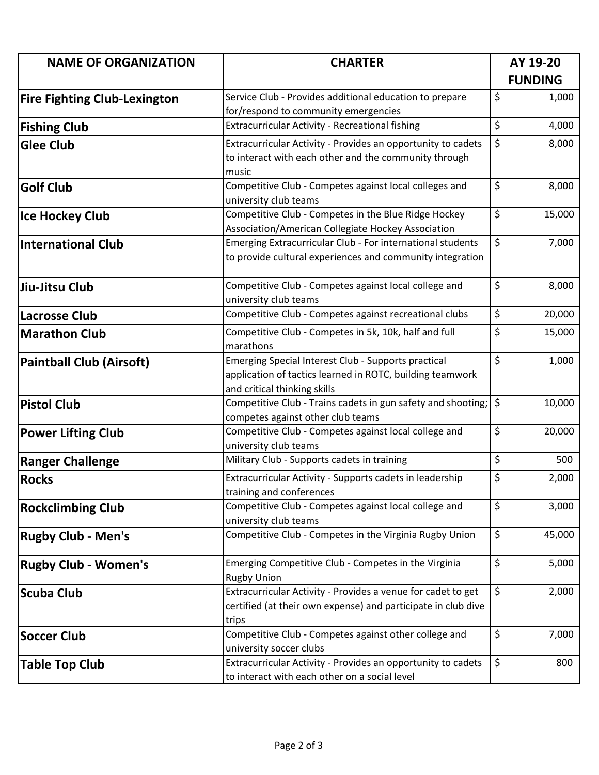| <b>NAME OF ORGANIZATION</b>         | <b>CHARTER</b>                                                             | AY 19-20       |        |
|-------------------------------------|----------------------------------------------------------------------------|----------------|--------|
|                                     |                                                                            | <b>FUNDING</b> |        |
| <b>Fire Fighting Club-Lexington</b> | Service Club - Provides additional education to prepare                    | \$             | 1,000  |
|                                     | for/respond to community emergencies                                       |                |        |
| <b>Fishing Club</b>                 | Extracurricular Activity - Recreational fishing                            | \$             | 4,000  |
| <b>Glee Club</b>                    | Extracurricular Activity - Provides an opportunity to cadets               | \$             | 8,000  |
|                                     | to interact with each other and the community through                      |                |        |
|                                     | music                                                                      |                |        |
| <b>Golf Club</b>                    | Competitive Club - Competes against local colleges and                     | \$             | 8,000  |
|                                     | university club teams                                                      |                |        |
| <b>Ice Hockey Club</b>              | Competitive Club - Competes in the Blue Ridge Hockey                       | \$             | 15,000 |
|                                     | Association/American Collegiate Hockey Association                         |                |        |
| <b>International Club</b>           | Emerging Extracurricular Club - For international students                 | \$             | 7,000  |
|                                     | to provide cultural experiences and community integration                  |                |        |
|                                     |                                                                            |                |        |
| Jiu-Jitsu Club                      | Competitive Club - Competes against local college and                      | \$             | 8,000  |
|                                     | university club teams                                                      |                |        |
| <b>Lacrosse Club</b>                | Competitive Club - Competes against recreational clubs                     | \$             | 20,000 |
| <b>Marathon Club</b>                | Competitive Club - Competes in 5k, 10k, half and full                      | \$             | 15,000 |
|                                     | marathons                                                                  |                |        |
| <b>Paintball Club (Airsoft)</b>     | Emerging Special Interest Club - Supports practical                        | \$             | 1,000  |
|                                     | application of tactics learned in ROTC, building teamwork                  |                |        |
|                                     | and critical thinking skills                                               |                |        |
| <b>Pistol Club</b>                  | Competitive Club - Trains cadets in gun safety and shooting;               | \$             | 10,000 |
|                                     | competes against other club teams                                          |                |        |
| <b>Power Lifting Club</b>           | Competitive Club - Competes against local college and                      | \$             | 20,000 |
|                                     | university club teams                                                      |                |        |
| <b>Ranger Challenge</b>             | Military Club - Supports cadets in training                                | \$             | 500    |
| <b>Rocks</b>                        | Extracurricular Activity - Supports cadets in leadership                   | \$             | 2,000  |
|                                     | training and conferences                                                   |                |        |
| <b>Rockclimbing Club</b>            | Competitive Club - Competes against local college and                      | \$             | 3,000  |
|                                     | university club teams                                                      |                |        |
| <b>Rugby Club - Men's</b>           | Competitive Club - Competes in the Virginia Rugby Union                    | \$             | 45,000 |
|                                     |                                                                            | \$             | 5,000  |
| <b>Rugby Club - Women's</b>         | Emerging Competitive Club - Competes in the Virginia<br><b>Rugby Union</b> |                |        |
|                                     | Extracurricular Activity - Provides a venue for cadet to get               | \$             | 2,000  |
| <b>Scuba Club</b>                   | certified (at their own expense) and participate in club dive              |                |        |
|                                     | trips                                                                      |                |        |
| <b>Soccer Club</b>                  | Competitive Club - Competes against other college and                      | \$             | 7,000  |
|                                     | university soccer clubs                                                    |                |        |
| <b>Table Top Club</b>               | Extracurricular Activity - Provides an opportunity to cadets               | \$             | 800    |
|                                     | to interact with each other on a social level                              |                |        |